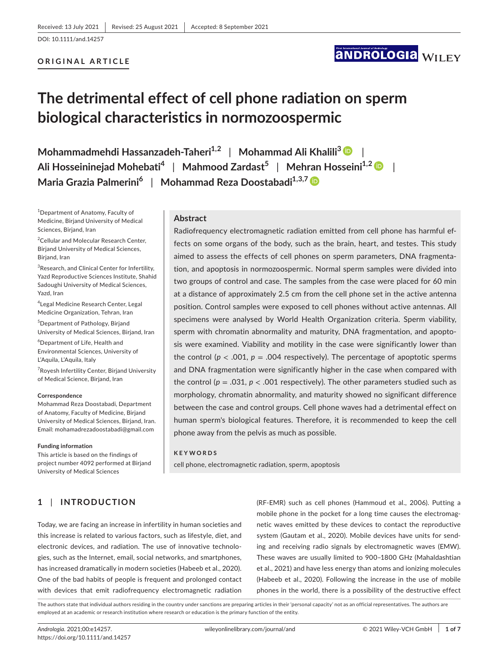## **ORIGINAL ARTICLE**

# **ANDROLOGIA WILEY**

# **The detrimental effect of cell phone radiation on sperm biological characteristics in normozoospermic**

**Mohammadmehdi Hassanzadeh-Taheri1,2** | **Mohammad Ali Khalili[3](https://orcid.org/0000-0002-8932-0224)** | **Ali Hosseininejad Mohebati<sup>4</sup>** | **Mahmood Zardast<sup>5</sup>** | **Mehran Hosseini1,[2](https://orcid.org/0000-0002-6793-2035)** | **Maria Grazia Palmerini<sup>6</sup>** | **Mohammad Reza Doostabadi1,3,[7](https://orcid.org/0000-0003-1351-3385)**

1 Department of Anatomy, Faculty of Medicine, Birjand University of Medical Sciences, Birjand, Iran

<sup>2</sup>Cellular and Molecular Research Center, Birjand University of Medical Sciences, Birjand, Iran

<sup>3</sup> Research, and Clinical Center for Infertility, Yazd Reproductive Sciences Institute, Shahid Sadoughi University of Medical Sciences, Yazd, Iran

4 Legal Medicine Research Center, Legal Medicine Organization, Tehran, Iran

5 Department of Pathology, Birjand University of Medical Sciences, Birjand, Iran

6 Department of Life, Health and Environmental Sciences, University of L'Aquila, L'Aquila, Italy

7 Royesh Infertility Center, Birjand University of Medical Science, Birjand, Iran

#### **Correspondence**

Mohammad Reza Doostabadi, Department of Anatomy, Faculty of Medicine, Birjand University of Medical Sciences, Birjand, Iran. Email: [mohamadrezadoostabadi@gmail.com](mailto:mohamadrezadoostabadi@gmail.com)

#### **Funding information**

This article is based on the findings of project number 4092 performed at Birjand University of Medical Sciences

### **Abstract**

Radiofrequency electromagnetic radiation emitted from cell phone has harmful effects on some organs of the body, such as the brain, heart, and testes. This study aimed to assess the effects of cell phones on sperm parameters, DNA fragmentation, and apoptosis in normozoospermic. Normal sperm samples were divided into two groups of control and case. The samples from the case were placed for 60 min at a distance of approximately 2.5 cm from the cell phone set in the active antenna position. Control samples were exposed to cell phones without active antennas. All specimens were analysed by World Health Organization criteria. Sperm viability, sperm with chromatin abnormality and maturity, DNA fragmentation, and apoptosis were examined. Viability and motility in the case were significantly lower than the control ( $p < .001$ ,  $p = .004$  respectively). The percentage of apoptotic sperms and DNA fragmentation were significantly higher in the case when compared with the control ( $p = .031$ ,  $p < .001$  respectively). The other parameters studied such as morphology, chromatin abnormality, and maturity showed no significant difference between the case and control groups. Cell phone waves had a detrimental effect on human sperm's biological features. Therefore, it is recommended to keep the cell phone away from the pelvis as much as possible.

#### **KEYWORDS**

cell phone, electromagnetic radiation, sperm, apoptosis

# **1** | **INTRODUCTION**

Today, we are facing an increase in infertility in human societies and this increase is related to various factors, such as lifestyle, diet, and electronic devices, and radiation. The use of innovative technologies, such as the Internet, email, social networks, and smartphones, has increased dramatically in modern societies (Habeeb et al., 2020). One of the bad habits of people is frequent and prolonged contact with devices that emit radiofrequency electromagnetic radiation

(RF-EMR) such as cell phones (Hammoud et al., 2006). Putting a mobile phone in the pocket for a long time causes the electromagnetic waves emitted by these devices to contact the reproductive system (Gautam et al., 2020). Mobile devices have units for sending and receiving radio signals by electromagnetic waves (EMW). These waves are usually limited to 900–1800 GHz (Mahaldashtian et al., 2021) and have less energy than atoms and ionizing molecules (Habeeb et al., 2020). Following the increase in the use of mobile phones in the world, there is a possibility of the destructive effect

The authors state that individual authors residing in the country under sanctions are preparing articles in their 'personal capacity' not as an official representatives. The authors are employed at an academic or research institution where research or education is the primary function of the entity.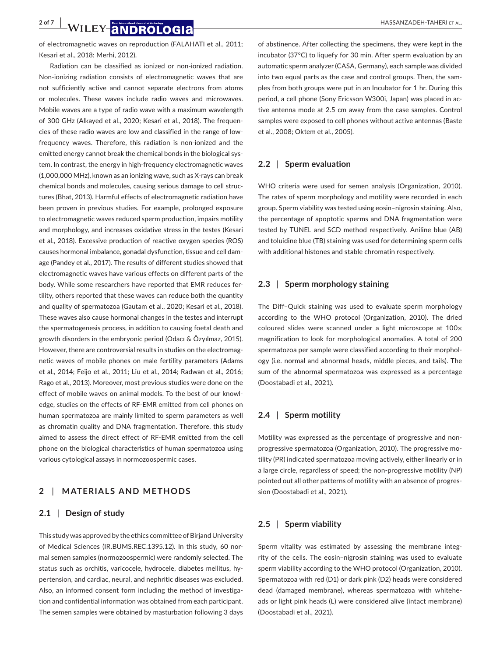**2 of 7 WILEY ANDROLOGIA** 

of electromagnetic waves on reproduction (FALAHATI et al., 2011; Kesari et al., 2018; Merhi, 2012).

Radiation can be classified as ionized or non-ionized radiation. Non-ionizing radiation consists of electromagnetic waves that are not sufficiently active and cannot separate electrons from atoms or molecules. These waves include radio waves and microwaves. Mobile waves are a type of radio wave with a maximum wavelength of 300 GHz (Alkayed et al., 2020; Kesari et al., 2018). The frequencies of these radio waves are low and classified in the range of lowfrequency waves. Therefore, this radiation is non-ionized and the emitted energy cannot break the chemical bonds in the biological system. In contrast, the energy in high-frequency electromagnetic waves (1,000,000 MHz), known as an ionizing wave, such as X-rays can break chemical bonds and molecules, causing serious damage to cell structures (Bhat, 2013). Harmful effects of electromagnetic radiation have been proven in previous studies. For example, prolonged exposure to electromagnetic waves reduced sperm production, impairs motility and morphology, and increases oxidative stress in the testes (Kesari et al., 2018). Excessive production of reactive oxygen species (ROS) causes hormonal imbalance, gonadal dysfunction, tissue and cell damage (Pandey et al., 2017). The results of different studies showed that electromagnetic waves have various effects on different parts of the body. While some researchers have reported that EMR reduces fertility, others reported that these waves can reduce both the quantity and quality of spermatozoa (Gautam et al., 2020; Kesari et al., 2018). These waves also cause hormonal changes in the testes and interrupt the spermatogenesis process, in addition to causing foetal death and growth disorders in the embryonic period (Odacı & Özyılmaz, 2015). However, there are controversial results in studies on the electromagnetic waves of mobile phones on male fertility parameters (Adams et al., 2014; Feijo et al., 2011; Liu et al., 2014; Radwan et al., 2016; Rago et al., 2013). Moreover, most previous studies were done on the effect of mobile waves on animal models. To the best of our knowledge, studies on the effects of RF-EMR emitted from cell phones on human spermatozoa are mainly limited to sperm parameters as well as chromatin quality and DNA fragmentation. Therefore, this study aimed to assess the direct effect of RF-EMR emitted from the cell phone on the biological characteristics of human spermatozoa using various cytological assays in normozoospermic cases.

## **2** | **MATERIALS AND METHODS**

# **2.1** | **Design of study**

This study was approved by the ethics committee of Birjand University of Medical Sciences (IR.BUMS.REC.1395.12). In this study, 60 normal semen samples (normozoospermic) were randomly selected. The status such as orchitis, varicocele, hydrocele, diabetes mellitus, hypertension, and cardiac, neural, and nephritic diseases was excluded. Also, an informed consent form including the method of investigation and confidential information was obtained from each participant. The semen samples were obtained by masturbation following 3 days

of abstinence. After collecting the specimens, they were kept in the incubator (37°C) to liquefy for 30 min. After sperm evaluation by an automatic sperm analyzer (CASA, Germany), each sample was divided into two equal parts as the case and control groups. Then, the samples from both groups were put in an Incubator for 1 hr. During this period, a cell phone (Sony Ericsson W300i, Japan) was placed in active antenna mode at 2.5 cm away from the case samples. Control samples were exposed to cell phones without active antennas (Baste et al., 2008; Oktem et al., 2005).

## **2.2** | **Sperm evaluation**

WHO criteria were used for semen analysis (Organization, 2010). The rates of sperm morphology and motility were recorded in each group. Sperm viability was tested using eosin–nigrosin staining. Also, the percentage of apoptotic sperms and DNA fragmentation were tested by TUNEL and SCD method respectively. Aniline blue (AB) and toluidine blue (TB) staining was used for determining sperm cells with additional histones and stable chromatin respectively.

## **2.3** | **Sperm morphology staining**

The Diff–Quick staining was used to evaluate sperm morphology according to the WHO protocol (Organization, 2010). The dried coloured slides were scanned under a light microscope at 100x magnification to look for morphological anomalies. A total of 200 spermatozoa per sample were classified according to their morphology (i.e. normal and abnormal heads, middle pieces, and tails). The sum of the abnormal spermatozoa was expressed as a percentage (Doostabadi et al., 2021).

## **2.4** | **Sperm motility**

Motility was expressed as the percentage of progressive and nonprogressive spermatozoa (Organization, 2010). The progressive motility (PR) indicated spermatozoa moving actively, either linearly or in a large circle, regardless of speed; the non-progressive motility (NP) pointed out all other patterns of motility with an absence of progression (Doostabadi et al., 2021).

# **2.5** | **Sperm viability**

Sperm vitality was estimated by assessing the membrane integrity of the cells. The eosin–nigrosin staining was used to evaluate sperm viability according to the WHO protocol (Organization, 2010). Spermatozoa with red (D1) or dark pink (D2) heads were considered dead (damaged membrane), whereas spermatozoa with whiteheads or light pink heads (L) were considered alive (intact membrane) (Doostabadi et al., 2021).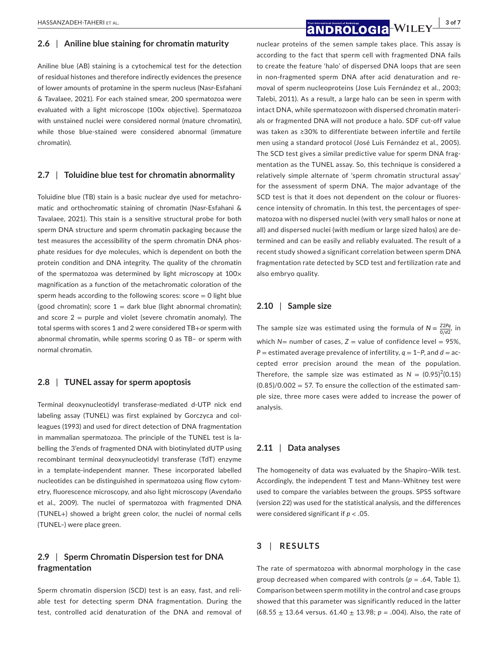## **2.6** | **Aniline blue staining for chromatin maturity**

Aniline blue (AB) staining is a cytochemical test for the detection of residual histones and therefore indirectly evidences the presence of lower amounts of protamine in the sperm nucleus (Nasr-Esfahani & Tavalaee, 2021). For each stained smear, 200 spermatozoa were evaluated with a light microscope (100x objective). Spermatozoa with unstained nuclei were considered normal (mature chromatin), while those blue-stained were considered abnormal (immature chromatin).

## **2.7** | **Toluidine blue test for chromatin abnormality**

Toluidine blue (TB) stain is a basic nuclear dye used for metachromatic and orthochromatic staining of chromatin (Nasr-Esfahani & Tavalaee, 2021). This stain is a sensitive structural probe for both sperm DNA structure and sperm chromatin packaging because the test measures the accessibility of the sperm chromatin DNA phosphate residues for dye molecules, which is dependent on both the protein condition and DNA integrity. The quality of the chromatin of the spermatozoa was determined by light microscopy at 100× magnification as a function of the metachromatic coloration of the sperm heads according to the following scores:  $score = 0$  light blue (good chromatin); score  $1 =$  dark blue (light abnormal chromatin); and score  $2 =$  purple and violet (severe chromatin anomaly). The total sperms with scores 1 and 2 were considered TB+or sperm with abnormal chromatin, while sperms scoring 0 as TB– or sperm with normal chromatin.

## **2.8** | **TUNEL assay for sperm apoptosis**

Terminal deoxynucleotidyl transferase-mediated d-UTP nick end labeling assay (TUNEL) was first explained by Gorczyca and colleagues (1993) and used for direct detection of DNA fragmentation in mammalian spermatozoa. The principle of the TUNEL test is labelling the 3'ends of fragmented DNA with biotinylated dUTP using recombinant terminal deoxynucleotidyl transferase (TdT) enzyme in a template-independent manner. These incorporated labelled nucleotides can be distinguished in spermatozoa using flow cytometry, fluorescence microscopy, and also light microscopy (Avendaño et al., 2009). The nuclei of spermatozoa with fragmented DNA (TUNEL+) showed a bright green color, the nuclei of normal cells (TUNEL–) were place green.

# **2.9** | **Sperm Chromatin Dispersion test for DNA fragmentation**

Sperm chromatin dispersion (SCD) test is an easy, fast, and reliable test for detecting sperm DNA fragmentation. During the test, controlled acid denaturation of the DNA and removal of

# **|** HASSANZADEH-TAHERI et al. **3 of 7**

nuclear proteins of the semen sample takes place. This assay is according to the fact that sperm cell with fragmented DNA fails to create the feature 'halo' of dispersed DNA loops that are seen in non-fragmented sperm DNA after acid denaturation and removal of sperm nucleoproteins (Jose Luis Fernández et al., 2003; Talebi, 2011). As a result, a large halo can be seen in sperm with intact DNA, while spermatozoon with dispersed chromatin materials or fragmented DNA will not produce a halo. SDF cut-off value was taken as ≥30% to differentiate between infertile and fertile men using a standard protocol (José Luis Fernández et al., 2005). The SCD test gives a similar predictive value for sperm DNA fragmentation as the TUNEL assay. So, this technique is considered a relatively simple alternate of 'sperm chromatin structural assay' for the assessment of sperm DNA. The major advantage of the SCD test is that it does not dependent on the colour or fluorescence intensity of chromatin. In this test, the percentages of spermatozoa with no dispersed nuclei (with very small halos or none at all) and dispersed nuclei (with medium or large sized halos) are determined and can be easily and reliably evaluated. The result of a recent study showed a significant correlation between sperm DNA fragmentation rate detected by SCD test and fertilization rate and also embryo quality.

## **2.10** | **Sample size**

The sample size was estimated using the formula of  $N = \frac{Z2Pq}{0/d2}$ , in which  $N=$  number of cases,  $Z=$  value of confidence level = 95%, *P* = estimated average prevalence of infertility, *q* = 1−*P*, and *d* = accepted error precision around the mean of the population. Therefore, the sample size was estimated as  $N = (0.95)^2(0.15)$  $(0.85)/0.002 = 57$ . To ensure the collection of the estimated sample size, three more cases were added to increase the power of analysis.

# **2.11** | **Data analyses**

The homogeneity of data was evaluated by the Shapiro–Wilk test. Accordingly, the independent T test and Mann–Whitney test were used to compare the variables between the groups. SPSS software (version 22) was used for the statistical analysis, and the differences were considered significant if *p <* .05.

# **3** | **RESULTS**

The rate of spermatozoa with abnormal morphology in the case group decreased when compared with controls ( $p = .64$ , Table 1). Comparison between sperm motility in the control and case groups showed that this parameter was significantly reduced in the latter (68.55 ± 13.64 versus. 61.40 ± 13.98; *p =* .004). Also, the rate of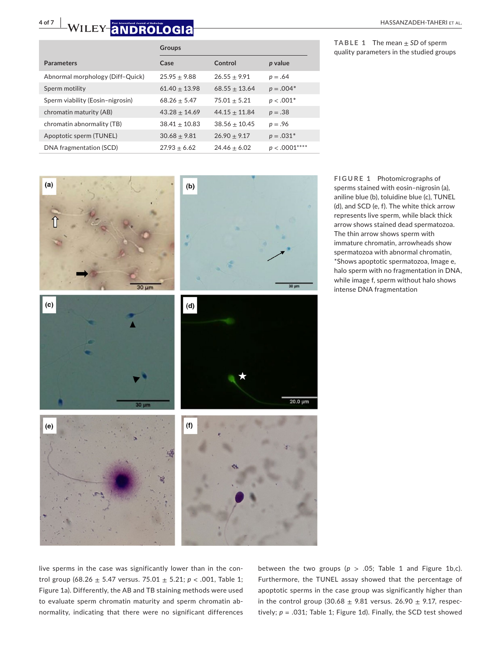# **4 of 7 WILEY ANDROLOGIA** *BOLOGIA*

**TABLE 1** The mean  $\pm$  *SD* of sperm quality parameters in the studied groups

|                                  | <b>Groups</b>   |                 |                |  |
|----------------------------------|-----------------|-----------------|----------------|--|
| <b>Parameters</b>                | Case            | Control         | p value        |  |
| Abnormal morphology (Diff-Quick) | $25.95 + 9.88$  | $26.55 + 9.91$  | $p = .64$      |  |
| Sperm motility                   | $61.40 + 13.98$ | $68.55 + 13.64$ | $p = .004*$    |  |
| Sperm viability (Eosin-nigrosin) | $68.26 + 5.47$  | $75.01 + 5.21$  | $p < .001*$    |  |
| chromatin maturity (AB)          | $43.28 + 14.69$ | $44.15 + 11.84$ | $p = .38$      |  |
| chromatin abnormality (TB)       | $38.41 + 10.83$ | $38.56 + 10.45$ | $p = .96$      |  |
| Apoptotic sperm (TUNEL)          | $30.68 + 9.81$  | $26.90 + 9.17$  | $p = .031*$    |  |
| DNA fragmentation (SCD)          | $27.93 + 6.62$  | $24.46 + 6.02$  | $p < .0001***$ |  |
|                                  |                 |                 |                |  |



**FIGURE 1** Photomicrographs of sperms stained with eosin–nigrosin (a), aniline blue (b), toluidine blue (c), TUNEL (d), and SCD (e, f). The white thick arrow represents live sperm, while black thick arrow shows stained dead spermatozoa. The thin arrow shows sperm with immature chromatin, arrowheads show spermatozoa with abnormal chromatin, \*Shows apoptotic spermatozoa, Image e, halo sperm with no fragmentation in DNA, while image f, sperm without halo shows intense DNA fragmentation

live sperms in the case was significantly lower than in the control group (68.26 ± 5.47 versus. 75.01 ± 5.21; *p <* .001, Table 1; Figure 1a). Differently, the AB and TB staining methods were used to evaluate sperm chromatin maturity and sperm chromatin abnormality, indicating that there were no significant differences between the two groups ( $p > .05$ ; Table 1 and Figure 1b,c). Furthermore, the TUNEL assay showed that the percentage of apoptotic sperms in the case group was significantly higher than in the control group (30.68  $\pm$  9.81 versus. 26.90  $\pm$  9.17, respectively; *p =* .031*;* Table 1; Figure 1d). Finally, the SCD test showed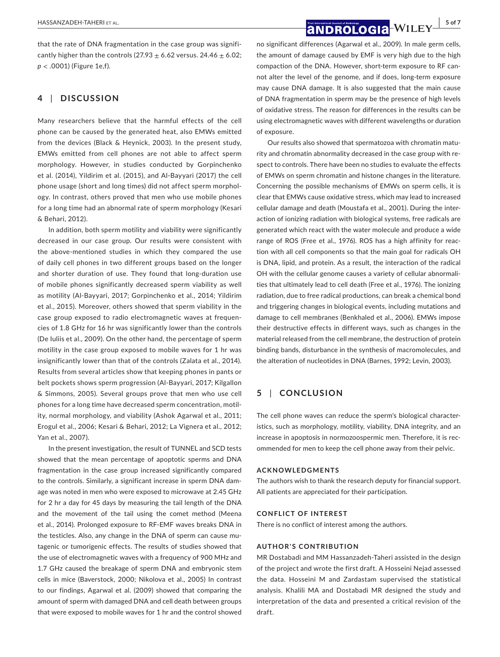**|** HASSANZADEH-TAHERI et al. **5 of 7**

that the rate of DNA fragmentation in the case group was significantly higher than the controls (27.93  $\pm$  6.62 versus. 24.46  $\pm$  6.02; *p* < .0001) (Figure 1e,f).

## **4** | **DISCUSSION**

Many researchers believe that the harmful effects of the cell phone can be caused by the generated heat, also EMWs emitted from the devices (Black & Heynick, 2003). In the present study, EMWs emitted from cell phones are not able to affect sperm morphology. However, in studies conducted by Gorpinchenko et al. (2014), Yildirim et al. (2015), and Al-Bayyari (2017) the cell phone usage (short and long times) did not affect sperm morphology. In contrast, others proved that men who use mobile phones for a long time had an abnormal rate of sperm morphology (Kesari & Behari, 2012).

In addition, both sperm motility and viability were significantly decreased in our case group. Our results were consistent with the above-mentioned studies in which they compared the use of daily cell phones in two different groups based on the longer and shorter duration of use. They found that long-duration use of mobile phones significantly decreased sperm viability as well as motility (Al-Bayyari, 2017; Gorpinchenko et al., 2014; Yildirim et al., 2015). Moreover, others showed that sperm viability in the case group exposed to radio electromagnetic waves at frequencies of 1.8 GHz for 16 hr was significantly lower than the controls (De Iuliis et al., 2009). On the other hand, the percentage of sperm motility in the case group exposed to mobile waves for 1 hr was insignificantly lower than that of the controls (Zalata et al., 2014). Results from several articles show that keeping phones in pants or belt pockets shows sperm progression (Al-Bayyari, 2017; Kilgallon & Simmons, 2005). Several groups prove that men who use cell phones for a long time have decreased sperm concentration, motility, normal morphology, and viability (Ashok Agarwal et al., 2011; Erogul et al., 2006; Kesari & Behari, 2012; La Vignera et al., 2012; Yan et al., 2007).

In the present investigation, the result of TUNNEL and SCD tests showed that the mean percentage of apoptotic sperms and DNA fragmentation in the case group increased significantly compared to the controls. Similarly, a significant increase in sperm DNA damage was noted in men who were exposed to microwave at 2.45 GHz for 2 hr a day for 45 days by measuring the tail length of the DNA and the movement of the tail using the comet method (Meena et al., 2014). Prolonged exposure to RF-EMF waves breaks DNA in the testicles. Also, any change in the DNA of sperm can cause mutagenic or tumorigenic effects. The results of studies showed that the use of electromagnetic waves with a frequency of 900 MHz and 1.7 GHz caused the breakage of sperm DNA and embryonic stem cells in mice (Baverstock, 2000; Nikolova et al., 2005) In contrast to our findings, Agarwal et al. (2009) showed that comparing the amount of sperm with damaged DNA and cell death between groups that were exposed to mobile waves for 1 hr and the control showed

no significant differences (Agarwal et al., 2009). In male germ cells, the amount of damage caused by EMF is very high due to the high compaction of the DNA. However, short-term exposure to RF cannot alter the level of the genome, and if does, long-term exposure may cause DNA damage. It is also suggested that the main cause of DNA fragmentation in sperm may be the presence of high levels of oxidative stress. The reason for differences in the results can be using electromagnetic waves with different wavelengths or duration of exposure.

Our results also showed that spermatozoa with chromatin maturity and chromatin abnormality decreased in the case group with respect to controls. There have been no studies to evaluate the effects of EMWs on sperm chromatin and histone changes in the literature. Concerning the possible mechanisms of EMWs on sperm cells, it is clear that EMWs cause oxidative stress, which may lead to increased cellular damage and death (Moustafa et al., 2001). During the interaction of ionizing radiation with biological systems, free radicals are generated which react with the water molecule and produce a wide range of ROS (Free et al., 1976). ROS has a high affinity for reaction with all cell components so that the main goal for radicals OH is DNA, lipid, and protein. As a result, the interaction of the radical OH with the cellular genome causes a variety of cellular abnormalities that ultimately lead to cell death (Free et al., 1976). The ionizing radiation, due to free radical productions, can break a chemical bond and triggering changes in biological events, including mutations and damage to cell membranes (Benkhaled et al., 2006). EMWs impose their destructive effects in different ways, such as changes in the material released from the cell membrane, the destruction of protein binding bands, disturbance in the synthesis of macromolecules, and the alteration of nucleotides in DNA (Barnes, 1992; Levin, 2003).

# **5** | **CONCLUSION**

The cell phone waves can reduce the sperm's biological characteristics, such as morphology, motility, viability, DNA integrity, and an increase in apoptosis in normozoospermic men. Therefore, it is recommended for men to keep the cell phone away from their pelvic.

### **ACKNOWLEDGMENTS**

The authors wish to thank the research deputy for financial support. All patients are appreciated for their participation.

### **CONFLICT OF INTEREST**

There is no conflict of interest among the authors.

## **AUTHOR'S CONTRIBUTION**

MR Dostabadi and MM Hassanzadeh-Taheri assisted in the design of the project and wrote the first draft. A Hosseini Nejad assessed the data. Hosseini M and Zardastam supervised the statistical analysis. Khalili MA and Dostabadi MR designed the study and interpretation of the data and presented a critical revision of the draft.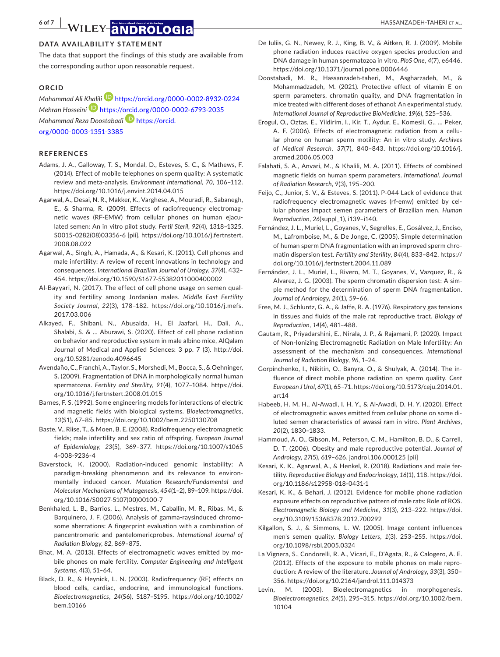## **DATA AVAILABILITY STATEMENT**

The data that support the findings of this study are available from the corresponding author upon reasonable request.

## **ORCID**

*Mohammad Ali [Khalil](https://orcid.org/0000-0002-6793-2035)i* <https://orcid.org/0000-0002-8932-0224> *Mehran Hosseini* <https://orcid.org/0000-0002-6793-2035> *Mohammad Reza Doostabadi* [https://orcid.](https://orcid.org/0000-0003-1351-3385) [org/0000-0003-1351-3385](https://orcid.org/0000-0003-1351-3385)

## **REFERENCES**

- Adams, J. A., Galloway, T. S., Mondal, D., Esteves, S. C., & Mathews, F. (2014). Effect of mobile telephones on sperm quality: A systematic review and meta-analysis. *Environment International*, *70*, 106–112. <https://doi.org/10.1016/j.envint.2014.04.015>
- Agarwal, A., Desai, N. R., Makker, K., Varghese, A., Mouradi, R., Sabanegh, E., & Sharma, R. (2009). Effects of radiofrequency electromagnetic waves (RF-EMW) from cellular phones on human ejaculated semen: An in vitro pilot study. *Fertil Steril*, *92*(4), 1318–1325. S0015-0282(08)03356-6 [pii]. [https://doi.org/10.1016/j.fertnstert.](https://doi.org/10.1016/j.fertnstert.2008.08.022) [2008.08.022](https://doi.org/10.1016/j.fertnstert.2008.08.022)
- Agarwal, A., Singh, A., Hamada, A., & Kesari, K. (2011). Cell phones and male infertility: A review of recent innovations in technology and consequences. *International Brazilian Journal of Urology*, *37*(4), 432– 454. <https://doi.org/10.1590/S1677-55382011000400002>
- Al-Bayyari, N. (2017). The effect of cell phone usage on semen quality and fertility among Jordanian males. *Middle East Fertility Society Journal*, *22*(3), 178–182. [https://doi.org/10.1016/j.mefs.](https://doi.org/10.1016/j.mefs.2017.03.006) [2017.03.006](https://doi.org/10.1016/j.mefs.2017.03.006)
- Alkayed, F., Shibani, N., Abusaida, H., El Jaafari, H., Dali, A., Shalabi, S. & … Aburawi, S. (2020). Effect of cell phone radiation on behavior and reproductive system in male albino mice, AlQalam Journal of Medical and Applied Sciences: 3 pp. 7 (3). [http://doi.](http://doi.org/10.5281/zenodo.4096645) [org/10.5281/zenodo.4096645](http://doi.org/10.5281/zenodo.4096645)
- Avendaño, C., Franchi, A., Taylor, S., Morshedi, M., Bocca, S., & Oehninger, S. (2009). Fragmentation of DNA in morphologically normal human spermatozoa. *Fertility and Sterility*, *91*(4), 1077–1084. [https://doi.](https://doi.org/10.1016/j.fertnstert.2008.01.015) [org/10.1016/j.fertnstert.2008.01.015](https://doi.org/10.1016/j.fertnstert.2008.01.015)
- Barnes, F. S. (1992). Some engineering models for interactions of electric and magnetic fields with biological systems. *Bioelectromagnetics*, *13*(S1), 67–85. <https://doi.org/10.1002/bem.2250130708>
- Baste, V., Riise, T., & Moen, B. E. (2008). Radiofrequency electromagnetic fields; male infertility and sex ratio of offspring. *European Journal of Epidemiology*, *23*(5), 369–377. [https://doi.org/10.1007/s1065](https://doi.org/10.1007/s10654-008-9236-4) [4-008-9236-4](https://doi.org/10.1007/s10654-008-9236-4)
- Baverstock, K. (2000). Radiation-induced genomic instability: A paradigm-breaking phenomenon and its relevance to environmentally induced cancer. *Mutation Research/Fundamental and Molecular Mechanisms of Mutagenesis*, *454*(1–2), 89–109. [https://doi.](https://doi.org/10.1016/S0027-5107(00)00100-7) [org/10.1016/S0027-5107\(00\)00100-7](https://doi.org/10.1016/S0027-5107(00)00100-7)
- Benkhaled, L. B., Barrios, L., Mestres, M., Caballin, M. R., Ribas, M., & Barquinero, J. F. (2006). Analysis of gamma-raysinduced chromosome aberrations: A fingerprint evaluation with a combination of pancentromeric and pantelomericprobes. *International Journal of Radiation Biology*, *82*, 869–875.
- Bhat, M. A. (2013). Effects of electromagnetic waves emitted by mobile phones on male fertility. *Computer Engineering and Intelligent Systems*, *4*(3), 51–64.
- Black, D. R., & Heynick, L. N. (2003). Radiofrequency (RF) effects on blood cells, cardiac, endocrine, and immunological functions. *Bioelectromagnetics*, *24*(S6), S187–S195. [https://doi.org/10.1002/](https://doi.org/10.1002/bem.10166) [bem.10166](https://doi.org/10.1002/bem.10166)
- De Iuliis, G. N., Newey, R. J., King, B. V., & Aitken, R. J. (2009). Mobile phone radiation induces reactive oxygen species production and DNA damage in human spermatozoa in vitro. *PloS One*, *4*(7), e6446. <https://doi.org/10.1371/journal.pone.0006446>
- Doostabadi, M. R., Hassanzadeh-taheri, M., Asgharzadeh, M., & Mohammadzadeh, M. (2021). Protective effect of vitamin E on sperm parameters, chromatin quality, and DNA fragmentation in mice treated with different doses of ethanol: An experimental study. *International Journal of Reproductive BioMedicine*, *19*(6), 525–536.
- Erogul, O., Oztas, E., Yildirim, I., Kir, T., Aydur, E., Komesli, G., … Peker, A. F. (2006). Effects of electromagnetic radiation from a cellular phone on human sperm motility: An in vitro study. *Archives of Medical Research*, *37*(7), 840–843. [https://doi.org/10.1016/j.](https://doi.org/10.1016/j.arcmed.2006.05.003) [arcmed.2006.05.003](https://doi.org/10.1016/j.arcmed.2006.05.003)
- Falahati, S. A., Anvari, M., & Khalili, M. A. (2011). Effects of combined magnetic fields on human sperm parameters. *International*. *Journal of Radiation Research*, *9*(3), 195–200.
- Feijo, C., Junior, S. V., & Esteves, S. (2011). P-044 Lack of evidence that radiofrequency electromagnetic waves (rf-emw) emitted by cellular phones impact semen parameters of Brazilian men. *Human Reproduction*, *26*(suppl\_1), i139–i140.
- Fernández, J. L., Muriel, L., Goyanes, V., Segrelles, E., Gosálvez, J., Enciso, M., Lafromboise, M., & De Jonge, C. (2005). Simple determination of human sperm DNA fragmentation with an improved sperm chromatin dispersion test. *Fertility and Sterility*, *84*(4), 833–842. [https://](https://doi.org/10.1016/j.fertnstert.2004.11.089) [doi.org/10.1016/j.fertnstert.2004.11.089](https://doi.org/10.1016/j.fertnstert.2004.11.089)
- Fernández, J. L., Muriel, L., Rivero, M. T., Goyanes, V., Vazquez, R., & Alvarez, J. G. (2003). The sperm chromatin dispersion test: A simple method for the determination of sperm DNA fragmentation. *Journal of Andrology*, *24*(1), 59–66.
- Free, M. J., Schluntz, G. A., & Jaffe, R. A. (1976). Respiratory gas tensions in tissues and fluids of the male rat reproductive tract. *Biology of Reproduction*, *14*(4), 481–488.
- Gautam, R., Priyadarshini, E., Nirala, J. P., & Rajamani, P. (2020). Impact of Non-Ionizing Electromagnetic Radiation on Male Infertility: An assessment of the mechanism and consequences. *International Journal of Radiation Biology*, *96*, 1–24.
- Gorpinchenko, I., Nikitin, O., Banyra, O., & Shulyak, A. (2014). The influence of direct mobile phone radiation on sperm quality. *Cent European J Urol*, *67*(1), 65–71. [https://doi.org/10.5173/ceju.2014.01.](https://doi.org/10.5173/ceju.2014.01.art14) [art14](https://doi.org/10.5173/ceju.2014.01.art14)
- Habeeb, H. M. H., Al-Awadi, I. H. Y., & Al-Awadi, D. H. Y. (2020). Effect of electromagnetic waves emitted from cellular phone on some diluted semen characteristics of awassi ram in vitro. *Plant Archives*, *20*(2), 1830–1833.
- Hammoud, A. O., Gibson, M., Peterson, C. M., Hamilton, B. D., & Carrell, D. T. (2006). Obesity and male reproductive potential. *Journal of Andrology*, *27*(5), 619–626. jandrol.106.000125 [pii]
- Kesari, K. K., Agarwal, A., & Henkel, R. (2018). Radiations and male fertility. *Reproductive Biology and Endocrinology*, *16*(1), 118. [https://doi.](https://doi.org/10.1186/s12958-018-0431-1) [org/10.1186/s12958-018-0431-1](https://doi.org/10.1186/s12958-018-0431-1)
- Kesari, K. K., & Behari, J. (2012). Evidence for mobile phone radiation exposure effects on reproductive pattern of male rats: Role of ROS. *Electromagnetic Biology and Medicine*, *31*(3), 213–222. [https://doi.](https://doi.org/10.3109/15368378.2012.700292) [org/10.3109/15368378.2012.700292](https://doi.org/10.3109/15368378.2012.700292)
- Kilgallon, S. J., & Simmons, L. W. (2005). Image content influences men's semen quality. *Biology Letters*, *1*(3), 253–255. [https://doi.](https://doi.org/10.1098/rsbl.2005.0324) [org/10.1098/rsbl.2005.0324](https://doi.org/10.1098/rsbl.2005.0324)
- La Vignera, S., Condorelli, R. A., Vicari, E., D'Agata, R., & Calogero, A. E. (2012). Effects of the exposure to mobile phones on male reproduction: A review of the literature. *Journal of Andrology*, *33*(3), 350– 356.<https://doi.org/10.2164/jandrol.111.014373>
- Levin, M. (2003). Bioelectromagnetics in morphogenesis. *Bioelectromagnetics*, *24*(5), 295–315. [https://doi.org/10.1002/bem.](https://doi.org/10.1002/bem.10104) [10104](https://doi.org/10.1002/bem.10104)